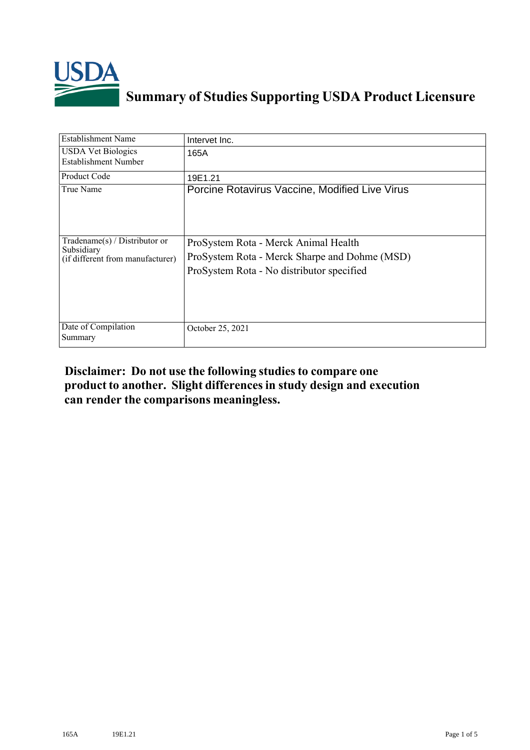

## **Summary of Studies Supporting USDA Product Licensure**

| <b>Establishment Name</b>                                                          | Intervet Inc.                                                                                                                      |
|------------------------------------------------------------------------------------|------------------------------------------------------------------------------------------------------------------------------------|
| <b>USDA Vet Biologics</b><br>Establishment Number                                  | 165A                                                                                                                               |
| <b>Product Code</b>                                                                | 19E1.21                                                                                                                            |
| True Name                                                                          | Porcine Rotavirus Vaccine, Modified Live Virus                                                                                     |
| Tradename $(s)$ / Distributor or<br>Subsidiary<br>(if different from manufacturer) | ProSystem Rota - Merck Animal Health<br>ProSystem Rota - Merck Sharpe and Dohme (MSD)<br>ProSystem Rota - No distributor specified |
| Date of Compilation<br>Summary                                                     | October 25, 2021                                                                                                                   |

## **Disclaimer: Do not use the following studiesto compare one product to another. Slight differencesin study design and execution can render the comparisons meaningless.**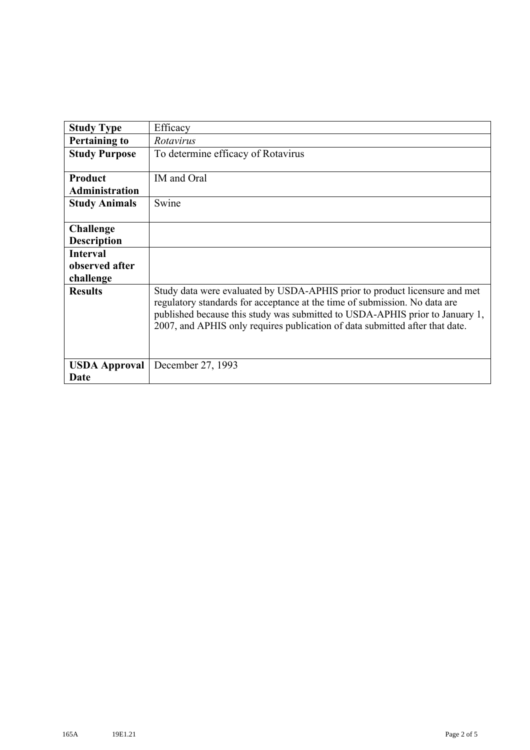| <b>Study Type</b>                       | Efficacy                                                                                                                                                                                                                                                                                                                 |
|-----------------------------------------|--------------------------------------------------------------------------------------------------------------------------------------------------------------------------------------------------------------------------------------------------------------------------------------------------------------------------|
| <b>Pertaining to</b>                    | Rotavirus                                                                                                                                                                                                                                                                                                                |
| <b>Study Purpose</b>                    | To determine efficacy of Rotavirus                                                                                                                                                                                                                                                                                       |
| <b>Product</b><br><b>Administration</b> | IM and Oral                                                                                                                                                                                                                                                                                                              |
| <b>Study Animals</b>                    | Swine                                                                                                                                                                                                                                                                                                                    |
| <b>Challenge</b>                        |                                                                                                                                                                                                                                                                                                                          |
| <b>Description</b>                      |                                                                                                                                                                                                                                                                                                                          |
| <b>Interval</b>                         |                                                                                                                                                                                                                                                                                                                          |
| observed after                          |                                                                                                                                                                                                                                                                                                                          |
| challenge                               |                                                                                                                                                                                                                                                                                                                          |
| <b>Results</b>                          | Study data were evaluated by USDA-APHIS prior to product licensure and met<br>regulatory standards for acceptance at the time of submission. No data are<br>published because this study was submitted to USDA-APHIS prior to January 1,<br>2007, and APHIS only requires publication of data submitted after that date. |
| <b>USDA Approval</b>                    | December 27, 1993                                                                                                                                                                                                                                                                                                        |
| Date                                    |                                                                                                                                                                                                                                                                                                                          |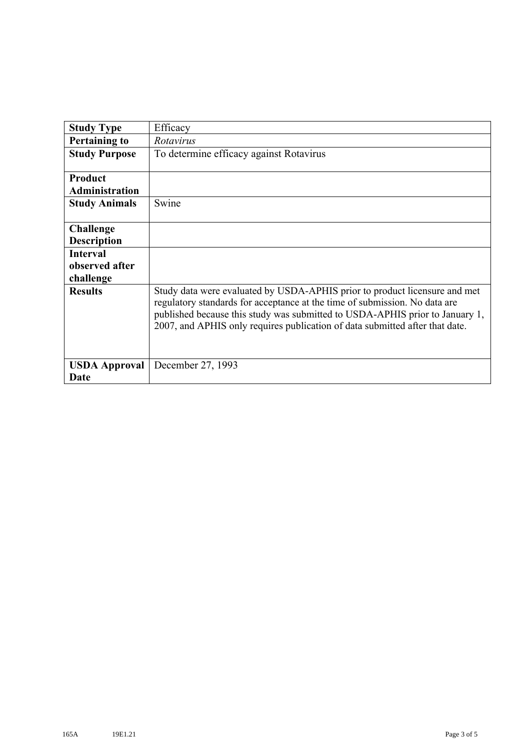| <b>Study Type</b>                | Efficacy                                                                                                                                                                                                                                                                                                                 |
|----------------------------------|--------------------------------------------------------------------------------------------------------------------------------------------------------------------------------------------------------------------------------------------------------------------------------------------------------------------------|
| <b>Pertaining to</b>             | Rotavirus                                                                                                                                                                                                                                                                                                                |
| <b>Study Purpose</b>             | To determine efficacy against Rotavirus                                                                                                                                                                                                                                                                                  |
| Product<br><b>Administration</b> |                                                                                                                                                                                                                                                                                                                          |
| <b>Study Animals</b>             | Swine                                                                                                                                                                                                                                                                                                                    |
| <b>Challenge</b>                 |                                                                                                                                                                                                                                                                                                                          |
| <b>Description</b>               |                                                                                                                                                                                                                                                                                                                          |
| <b>Interval</b>                  |                                                                                                                                                                                                                                                                                                                          |
| observed after                   |                                                                                                                                                                                                                                                                                                                          |
| challenge                        |                                                                                                                                                                                                                                                                                                                          |
| <b>Results</b>                   | Study data were evaluated by USDA-APHIS prior to product licensure and met<br>regulatory standards for acceptance at the time of submission. No data are<br>published because this study was submitted to USDA-APHIS prior to January 1,<br>2007, and APHIS only requires publication of data submitted after that date. |
| <b>USDA Approval</b>             | December 27, 1993                                                                                                                                                                                                                                                                                                        |
| Date                             |                                                                                                                                                                                                                                                                                                                          |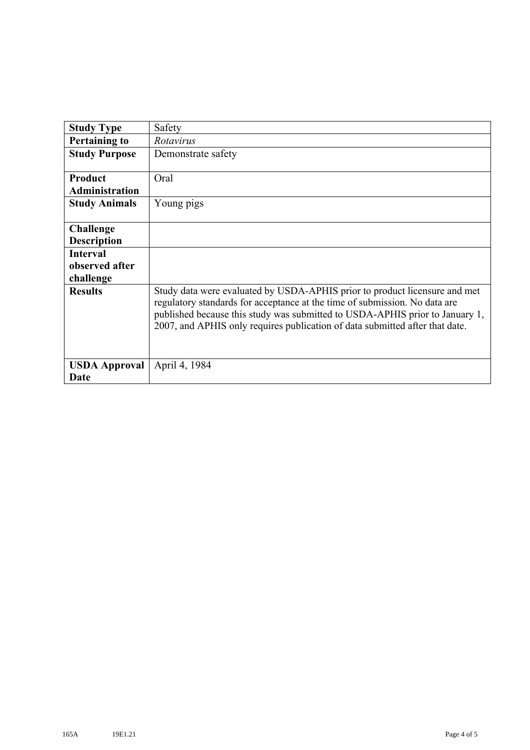| <b>Study Type</b>     | Safety                                                                                                                                                                                                                                                                                                                   |
|-----------------------|--------------------------------------------------------------------------------------------------------------------------------------------------------------------------------------------------------------------------------------------------------------------------------------------------------------------------|
| <b>Pertaining to</b>  | Rotavirus                                                                                                                                                                                                                                                                                                                |
| <b>Study Purpose</b>  | Demonstrate safety                                                                                                                                                                                                                                                                                                       |
| Product               | Oral                                                                                                                                                                                                                                                                                                                     |
| <b>Administration</b> |                                                                                                                                                                                                                                                                                                                          |
| <b>Study Animals</b>  | Young pigs                                                                                                                                                                                                                                                                                                               |
| <b>Challenge</b>      |                                                                                                                                                                                                                                                                                                                          |
| <b>Description</b>    |                                                                                                                                                                                                                                                                                                                          |
| <b>Interval</b>       |                                                                                                                                                                                                                                                                                                                          |
| observed after        |                                                                                                                                                                                                                                                                                                                          |
| challenge             |                                                                                                                                                                                                                                                                                                                          |
| <b>Results</b>        | Study data were evaluated by USDA-APHIS prior to product licensure and met<br>regulatory standards for acceptance at the time of submission. No data are<br>published because this study was submitted to USDA-APHIS prior to January 1,<br>2007, and APHIS only requires publication of data submitted after that date. |
| <b>USDA Approval</b>  | April 4, 1984                                                                                                                                                                                                                                                                                                            |
| Date                  |                                                                                                                                                                                                                                                                                                                          |